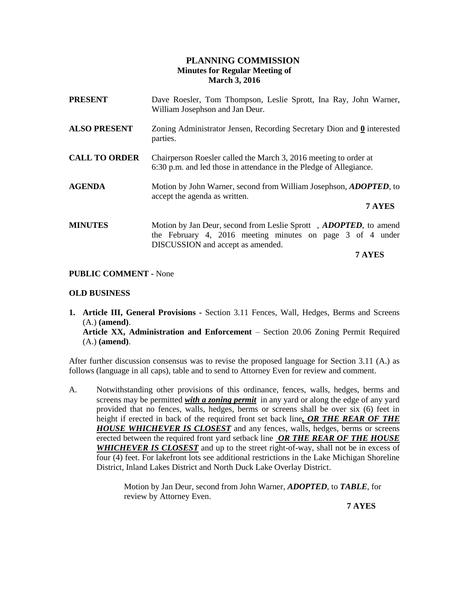### **PLANNING COMMISSION Minutes for Regular Meeting of March 3, 2016**

| <b>PRESENT</b>       | Dave Roesler, Tom Thompson, Leslie Sprott, Ina Ray, John Warner,<br>William Josephson and Jan Deur.                                                                |
|----------------------|--------------------------------------------------------------------------------------------------------------------------------------------------------------------|
| <b>ALSO PRESENT</b>  | Zoning Administrator Jensen, Recording Secretary Dion and 0 interested<br>parties.                                                                                 |
| <b>CALL TO ORDER</b> | Chairperson Roesler called the March 3, 2016 meeting to order at<br>6:30 p.m. and led those in attendance in the Pledge of Allegiance.                             |
| <b>AGENDA</b>        | Motion by John Warner, second from William Josephson, <i>ADOPTED</i> , to<br>accept the agenda as written.<br>7 AYES                                               |
| <b>MINUTES</b>       | Motion by Jan Deur, second from Leslie Sprott, ADOPTED, to amend<br>the February 4, 2016 meeting minutes on page 3 of 4 under<br>DISCUSSION and accept as amended. |

**7 AYES**

# **PUBLIC COMMENT -** None

### **OLD BUSINESS**

**1. Article III, General Provisions -** Section 3.11 Fences, Wall, Hedges, Berms and Screens (A.) **(amend)**. **Article XX, Administration and Enforcement** – Section 20.06 Zoning Permit Required (A.) **(amend)**.

After further discussion consensus was to revise the proposed language for Section 3.11 (A.) as follows (language in all caps), table and to send to Attorney Even for review and comment.

A. Notwithstanding other provisions of this ordinance, fences, walls, hedges, berms and screens may be permitted *with a zoning permit* in any yard or along the edge of any yard provided that no fences, walls, hedges, berms or screens shall be over six (6) feet in height if erected in back of the required front set back line*, OR THE REAR OF THE*  **HOUSE WHICHEVER IS CLOSEST** and any fences, walls, hedges, berms or screens erected between the required front yard setback line *OR THE REAR OF THE HOUSE WHICHEVER IS CLOSEST* and up to the street right-of-way, shall not be in excess of four (4) feet. For lakefront lots see additional restrictions in the Lake Michigan Shoreline District, Inland Lakes District and North Duck Lake Overlay District.

> Motion by Jan Deur, second from John Warner, *ADOPTED*, to *TABLE*, for review by Attorney Even.

 **7 AYES**